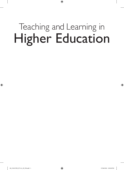## Teaching and Learning in Higher Education

 $\bigoplus$ 

⊕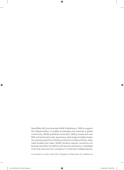Sara Miller McCune founded SAGE Publishing in 1965 to support the dissemination of usable knowledge and educate a global community. SAGE publishes more than 1000 journals and over 800 new books each year, spanning a wide range of subject areas. Our growing selection of library products includes archives, data, case studies and video. SAGE remains majority owned by our founder and after her lifetime will become owned by a charitable trust that secures the company's continued independence.

 $\bigoplus$ 

Los Angeles | London | New Delhi | Singapore | Washington DC | Melbourne

 $\bigoplus$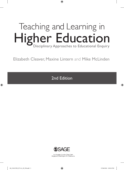# Teaching and Learning in Higher Education

 $\bigoplus$ 

Elizabeth Cleaver, Maxine Lintern and Mike McLinden

### 2nd Edition



Los Angeles | London | New Delhi<br>Singapore | Washington DC | Melbourne

⊕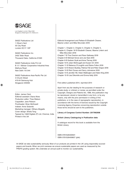

Los Angeles | London | New Delhi Singapore | Washington DC | Melbourne

SAGE Publications Ltd 1 Oliver's Yard 55 City Road London EC1Y 1SP

SAGE Publications Inc. 2455 Teller Road Thousand Oaks, California 91320

SAGE Publications India Pvt Ltd B 1/I 1 Mohan Cooperative Industrial Area Mathura Road New Delhi 110 044

SAGE Publications Asia-Pacific Pte Ltd 3 Church Street #10-04 Samsung Hub Singapore 049483

⊕

Editor: James Clark Editorial assistant: Diana Alves Production editor: Thea Watson Copyeditor: Jane Robson Proofreader: Brian McDowell Indexer: Anne Solamito Marketing manager: Dilhara Attygalle Cover design: Sheila Tong Typeset by: C&M Digitals (P) Ltd, Chennai, India Printed in the UK

Editorial Arrangement and Preface © Elizabeth Cleaver, Maxine Lintern and Mike McLinden 2018

⊕

Chapter 1, Chapter 2, Chapter 3, Chapter 4, Chapter 5, Chapter 6, Chapter 16 © Elizabeth Cleaver, Maxine Lintern and Mike McLinden 2018 Chapter 7 © Tina Overton and Ross Galloway 2018 Chapter 8 © Michael Grove and Joe Kyle 2018 Chapter 9 © Graham Scott and Anne Tierney 2018 Chapter 10 © Julian McDougall and Susan Orr 2018 Chapter 11 © Rebecca O'Loughlin and Elaine Fulton 2018 Chapter 12 © Sharon Buckley, Patricia Fell and Peter Draper 2018 Chapter 13 © Rob Clucas and Gerry Johnstone 2018 Chapter 14 © Jennifer Hill, Helen Walkington and Helen King 2018 Chapter 15 © Lisa Dikomitis and Emma Kelly 2018

First edition published 2014, reprinted 2014

Apart from any fair dealing for the purposes of research or private study, or criticism or review, as permitted under the Copyright, Designs and Patents Act, 1988, this publication may be reproduced, stored or transmitted in any form, or by any means, only with the prior permission in writing of the publishers, or in the case of reprographic reproduction, in accordance with the terms of licences issued by the Copyright Licensing Agency. Enquiries concerning reproduction outside those terms should be sent to the publishers.

#### **Library of Congress Control Number: 2017962698**

#### **British Library Cataloguing in Publication data**

A catalogue record for this book is available from the British Library

ISBN 9781526409591 ISBN 9781526409607 (pbk)

At SAGE we take sustainability seriously. Most of our products are printed in the UK using responsibly sourced papers and boards. When we print overseas we ensure sustainable papers are used as measured by the PREPS grading system. We undertake an annual audit to monitor our sustainability.

00\_CLEAVER\_ET AL\_2E\_FM.indd 4 27/06/2018 3:05:01 PM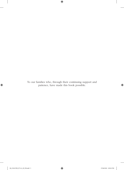To our families who, through their continuing support and patience, have made this book possible.

 $\bigoplus$ 

 $\bigoplus$ 

 $\overline{\phantom{a}}$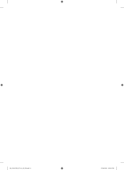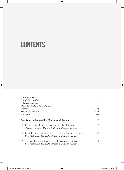### **CONTENTS**

|                     | List of Figures                                                                                                       |      |  |
|---------------------|-----------------------------------------------------------------------------------------------------------------------|------|--|
|                     | List of Case Studies                                                                                                  | хi   |  |
| Acknowledgements    |                                                                                                                       | xiv  |  |
|                     | About the Authors/Contributors                                                                                        |      |  |
|                     | Preface                                                                                                               | XX   |  |
| New to this edition |                                                                                                                       | xxiv |  |
|                     | Foreword                                                                                                              |      |  |
|                     | Part One Understanding Educational Enquiry                                                                            | 1    |  |
| $\mathbf{1}$        | What is educational enquiry and why is it important?<br>Elizabeth Cleaver, Maxine Lintern and Mike McLinden           | 3    |  |
|                     | 2 What do I need to know before I read educational literature?<br>Mike McLinden, Elizabeth Cleaver and Maxine Lintern | 23   |  |
|                     | 3 How is educational literature evidenced and reviewed?<br>Mike McLinden, Elizabeth Cleaver and Maxine Lintern        | 38   |  |

 $\bigoplus$ 

 $\bigoplus$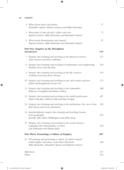#### viii CONTENTS

 $\overline{\phantom{a}}$ 

 $\bigoplus$ 

|              | 4 What about ethics and safety?<br>Elizabeth Cleaver, Maxine Lintern and Mike McLinden                                                                              | 57         |
|--------------|---------------------------------------------------------------------------------------------------------------------------------------------------------------------|------------|
|              | 5 What kind of data should I collect and use?<br>Maxine Lintern, Mike McLinden and Elizabeth Cleaver                                                                | 75         |
|              | 6 What about dissemination and impact?<br>Maxine Lintern, Mike McLinden and Elizabeth Cleaver                                                                       | 97         |
|              | Part Two Enquiry in the Disciplines<br>Introduction                                                                                                                 | 115        |
| 7.           | Enquiry into learning and teaching in the physical sciences<br>Tina Overton and Ross Galloway                                                                       | 117        |
| 8.           | Enquiry into learning and teaching in mathematics and engineering<br>Michael Grove and Joe Kyle                                                                     | 135        |
| 9            | Enquiry into learning and teaching in the life sciences<br>Grabam Scott and Anne Tierney                                                                            | 154        |
| 10           | Enquiry into learning and teaching in arts and creative practice<br>Julian McDougall and Susan Orr                                                                  | 171        |
| 11           | Enquiry into learning and teaching in the humanities<br>Rebecca O'Loughlin and Elaine Fulton                                                                        | 188        |
|              | 12 Enquiry into learning and teaching in the health professions<br>Sharon Buckley, Patricia Fell and Peter Draper                                                   | 207        |
| 13           | Enquiry into learning and teaching in the professions: the case of law<br>Rob Clucas and Gerry Johnstone                                                            | 222        |
|              | 14 Interdisciplinary enquiry into learning and teaching: lessons<br>from geography<br>Jennifer Hill, Helen Walkington and Helen King                                | 237        |
|              | 15 Enquiry into learning and teaching in the social sciences:<br>engaging with ethnographic research<br>Lisa Dikomitis and Emma Kelly                               | 253        |
|              | Part Three Promoting a Culture of Enquiry                                                                                                                           | 267        |
|              | 16 Developing and promoting a culture of critical enquiry<br>within higher education: some final reflections<br>Mike McLinden, Elizabeth Cleaver and Maxine Lintern | 269        |
| <i>Index</i> | References                                                                                                                                                          | 277<br>301 |

 $\bigoplus$ 

 $\overline{1}$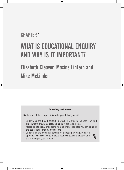## CHAPTER 1 WHAT IS EDUCATIONAL ENQUIRY AND WHY IS IT IMPORTANT?

 $\bigoplus$ 

Elizabeth Cleaver, Maxine Lintern and Mike McLinden

#### Learning outcomes

By the end of this chapter it is anticipated that you will:

- understand the broad context in which the growing emphasis on and expectations around educational enquiry are taking place;
- recognise the skills, understanding and knowledge that you can bring to the educational enquiry process; and
- understand the potential benefits of adopting an enquiry-based approach when seeking to improve your own teaching practice and the learning of your students.

⊕

举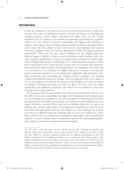#### Introduction

In this first chapter we provide an overview of the broad context in which the current refocusing of institutional policies towards excellence in learning and teaching practice within higher education has taken place in the United Kingdom (UK). In doing so, we examine the growing expectation for academic staff to use their skills of research, scholarship and higher-order thinking to improve and enhance their teaching practice and their students' learning experiences. Since the first edition of this book in 2014, this emphasis has become even more explicit in the UK, with the introduction of the 'Teaching Excellence Framework<sup>1</sup> (TEF) and the now annual collection by the Higher Education Statistics Agency (HESA) of data on each institution's staff members with relevant teaching qualifications and/or teaching-related professional fellowships. Your reading of this chapter should help you to understand the context in which these expectations have arisen and the reasons why we consider that undertaking educational improvements and enhancements are important. Our main aim is to encourage you, as academics in higher education, to enhance your practice and the learning experience of your students by asking the right questions; carefully monitoring and evaluating any changes made to practice and making evidence-informed decisions for change. Such an approach will not be alien to you as an academic as it informs all research work in higher education, business or industry. Through this book we hope to show you how you can apply approaches and methods of research, with which you are familiar, to your own learning and teaching practice.

 $\textcircled{\scriptsize{*}}$ 

We recognise that for many readers, this will not be the first time that you use the skills of research, scholarship and higher-order thinking for the improvement of your learning and teaching: we are all responsible for ensuring that the latest developments in disciplinary knowledge are synthesised and integrated into our higher education curricula. What may be less familiar, however, is a focus on making sure that the approaches to teaching this knowledge are also the most up-to-date and appropriate ones for your subject area. The challenge for us all is, in essence, no different from the challenge that we pose our students on a daily basis: namely that of moving from assumption, supposition and non-informed opinion to a more evidence-based consideration that involves information gathering, analysis, conclusion drawing and decision making.

⊕

<sup>&</sup>lt;sup>1</sup>In TEF Year 3, the full name of the scheme became the 'Teaching Excellence and Student Outcomes Framework', however the acronym TEF remains. From 2019, under the new Office for Students regulatory framework in England, participation in the TEF will be compulsory for all English providers over a certain size who wish to register. The Higher Education Research Act (HM Government, 2017) also allows for TEF to rate the institutions from devolved nations with the consent of devolved ministers responsible for higher education. However, participation of institutions from the devolved nations (Wales, Northern Ireland and Scotland) remains voluntary at the time of writing.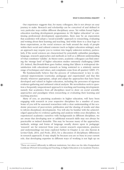Our experience suggests that, for many colleagues, this is not always an easy journey to make. Research and scholarship can be conceived of and defined in very particular ways within different disciplinary areas. Yet within formal higher education teaching development programmes in UK higher education<sup>2</sup> or continuing professional development opportunities, there may be an expectation that academics will adopt a 'social-scientific' approach to researching, evaluating and writing about their learning and teaching. And while there is a clear logic to these expectations, as the social sciences are built around the study of people within their social and cultural contexts (such as higher education settings), such an approach may require you to venture into largely unknown territory, particularly, if the social sciences are characterised by potentially unfamiliar paradigms, language, research approaches and methods as well as a different understanding of what constitutes 'validity'. As Stierer notes, academic colleagues can find entering the 'strange land' of higher education studies extremely challenging (2008: 35). Indeed, MacDonald-Ross goes further, stating that '[t]here is widespread dissatisfaction with educational research as being restricted to a relatively narrow range of techniques and values, and complaints come from all quarters' (2005: 17).

⊕

We fundamentally believe that the process of 'enhancement' is key to educational improvements (curricular, pedagogic and experiential) and that this should, wherever appropriate, adopt and adapt the approaches that have been developed and valued in higher education, including the processes of rigorous evidence-gathering and unbiased critical analysis. We nevertheless seek to question a frequently unquestioned approach to teaching and learning development: namely that academics from *all* disciplines need to draw on social scientific approaches and paradigms when researching or evaluating their learning and teaching practice.

Many of you, as practising academics in higher education, will have been engaging with research in your respective disciplines for a number of years. Some of you will be seasoned researchers with a clear understanding of the academic processes of peer-review, publication and the sharing of results and data to inform disciplinary developments. You will also be familiar with the acknowledged approaches to evidence gathering and analysis within your disciplines. As experienced academics ourselves with backgrounds in different disciplines, we are aware that developing new or additional research skills may not always be practicable or indeed desirable. This may be because many of the approaches, methods, settings and forms of language usually drawn upon in pedagogic 'research' are far removed from your current research expectations, practices and understandings (an issue explored further in Chapter 2; see also Keeran & Levine-Clark, 2014, and Poole, 2013, for a discussion of disciplinary differences in research approach). It may simply be because you are so busy in your current role, that developing expertise in different ways of working is not high up on

♠

<sup>2</sup> These are named differently in different institutions, but often use the titles Postgraduate Certificate (PGCert) in Learning and Teaching, in Higher Education or in Academic Practice.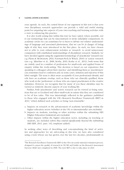your agenda. As such, the central thrust of our argument in this text is that your own disciplinary research approaches can provide a valid and useful starting point for enquiring into aspects of your own teaching and learning activities with a view to enhancing this practice.

⊕

It is also worth noting that within this text we have opted, where possible, not to use terminology that can be misconstrued or invite unhelpful comparisons. In academic circles we can sometimes be so keen to debate our relative understandings of language and associated phenomena, that we can be in danger of losing sight of why they were introduced in the first place. As such, we have chosen not to refer to your enhancement activities as 'research', to avoid unnecessary comparison with established understandings of disciplinary research. Similarly, we have decided against using the augmented terminology of 'practitioner' research (see e.g. Flynn & McDermott, 2016; Foreman-Peck & Winch, 2010) or 'action' research (see e.g. Altrichter et al., 2008; Koshy, 2010; Koshy et al., 2011); both terms that are widely used in a number of professions for small-scale and applied forms of enquiry within the work-setting. This decision is based on our experience that speaking to colleagues about their 'practice' and identifying them as 'practitioners' can sometimes lead to confusion and, in some cases, irritation and rejection of this label outright. The term is often more acceptable if your professional identity and role have an academic overlap, such as those who are clinically qualified, those who work in the 'professions' or those who are expert practitioners in the creative industries. However, we recognise that for many of you these identities may be viewed as relatively discrete aspects of your working life.

Further, both 'practitioner' and 'action' research can be viewed as being variations that are so localised and often small-scale in nature that they are considered to be of less value. This was interestingly reflected in the guidance published to those who engaged with the UK's Research Excellence Framework (REF) in 2014,3 which defined such activities as being 'non-returnable':

- a. Impacts on research or the advancement of academic knowledge within the higher education sector (whether in the UK or internationally) *are excluded*;
- b. Impacts on students, teaching or other activities within the submitting HEI [Higher Education Institution] *are excluded*;
- c. Other impacts within the higher education sector, including on teaching or students, are included *where they extend significantly beyond the submitting HEI* (REF, 2011: para. 143, emphasis added).

In seeking other ways of describing and conceptualising the kind of activities and approaches we are advocating in this text, we have also considered using a term whose use has grown over the last two decades, predominantly in

01\_CLEAVER\_ET AL\_2E\_CH-01.indd 6 26/06/2018 5:01:26 PM

<sup>3</sup> The Research Excellence Framework (REF) is the UK's six-yearly national evaluation process, designed to assess the quality of research in UK HE and builds on the Research Assessment Exercise (RAE) last completed in 2008. The next REF is due to take place in 2021.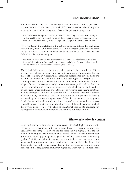the United States (US). The 'Scholarship of Teaching and Learning' (or SoTL – pronounced *so-tle*) comprises activity which focuses on evidence-based improvements to learning and teaching, often from a disciplinary starting point:

⊕

the mechanism through which the profession of teaching itself advances, through which teaching can be something other than a seat-of-the-pants operation, with each of us out there making it up as we go. (Hutchings & Shulman, 1999: 13–14)

However, despite the usefulness of the debates and insights from this established area of work, discussed in more detail later in the chapter, using the term *scholarship* in the UK creates a particular challenge in that the 2014 REF exercise defined scholarship narrowly as:

the creation, development and maintenance of the intellectual infrastructure of subjects and disciplines, in forms such as dictionaries, scholarly editions, catalogues and contributions to major research databases. (REF, 2011: 71)

With this definition so prominent in certain academic circles within the UK, to use the term scholarship may simply serve to confuse and undermine the role that SoTL can play in underpinning academic professional development and ensuring the continuing health of learning and teaching in the disciplines.

Taking these various considerations into account, we have therefore chosen to adopt different terminology, namely: *educational enquiry.* We believe this term can accommodate and describe a process through which you are able to draw on your disciplinary skills and understandings of research, recognising that these may be employed at a different level and with a different focus and outcome, with the primary aim of improving your understanding and practice in learning and teaching. In the remaining sections of this chapter we explore in greater detail why we believe the term 'educational enquiry' is both valuable and appropriate. However, to begin, we offer a brief overview of the wider context in which the growing need to employ the skills of educational enquiry sits, including key developments since the first edition of this text was published in 2014.

#### Higher education in context

As you will doubtless be aware, the broad context in which higher education sits is changing at a pace more rapid than we could have envisaged even four years ago. Drivers for change continue to include those that we highlighted in the first edition, including expectations of greater access to higher education (commonly termed the 'widening participation' agenda in the UK), drives towards increasing quality, flexibility and diversity, as well as a curriculum that has, as a central focus, student engagement, employability and transferable skills. Paralleling these shifts, and with rising student fees in the UK, there is now ever more expectation that programmes of study in higher education have no 'hidden' costs

♠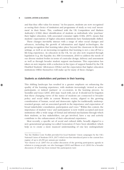and that they offer value for money.<sup>4</sup> As fee-payers, students are now recognised as seeing their choice of institution and programme of study as very real 'investment' in their future. This, combined with the UK Competition and Markets Authority's (CMA) direct identification of students as individuals who 'purchase' their higher education, with associated consumer rights (CMA, 2015), means that students' expectations of higher education institutions have fundamentally shifted.

⊕

These changes inevitably interact with a range of other social changes and advances, including the growth of information and digital technologies, the growing recognition that learning takes place beyond the classroom in life-wide settings, as well as an increasing recognition that learning is not a one-off but a life-long experience. As educators in the UK, we are also now required through legislation (e.g. the Equality Act, HM Government, 2010) to address the needs of our diverse student bodies in terms of curricular design, delivery and assessment as well as through broader student support mechanisms. This expectation has taken on new impetus with a reduction in the types of support funded by the UK Disabled Students' Allowances (DSAs) and the expectation that higher education institutions (HEIs) themselves will make up for many of these changes.

#### Students as stakeholders and partners in their learning

This shifting landscape has resulted in a greater emphasis on enhancing the quality of the learning experience, with students increasingly viewed as active participants, or indeed 'partners' or co-creators, in the learning process. As Seemiller and Grace (2016: 204) state: 'teach with, not at'. It should not be forgotten that these changing views of the status of students are connected to broader policy and social shifts in current Western society, aligned to the growing consideration of human, social and democratic rights for traditionally underrepresented groups, and an associated growth in the importance and expectation of broad stakeholder consultation, participation and voice.<sup>5</sup> Within this context, the importance of student 'voice' and 'participation' is now widely accepted and most institutions offer a wide range of formal and informal mechanisms through which their students, as key stakeholders, can get involved, have a say and actively contribute to the enhancement of their educational experience.

Most recently, a specific set of social and cultural shifts, broadly aligned to a new generational grouping (so-called Generation Z) have been identified, which help us to create a more nuanced understanding of one key undergraduate

♠

<sup>4</sup> See the Hidden Costs Toolkit provided for local Students' Union campaigns by the UK's National Union of Students (NUS, 2017) which was first introduced prior to the current fees regime of up to £9,250 per annum per student.

<sup>5</sup> See Cleaver et al. (2007) for an earlier discussion of the growing participatory agenda in relation to young people; see also Saurugger (2010) and Bherer et al. (2016) for a broader discussion of what has been termed 'the participatory turn'.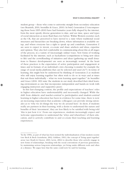student group – those who come to university straight from secondary education (see Beamish, 2016; Seemiller & Grace, 2016). In brief, Generation Z (encompassing those born 1995–2010) have had formative years fully shaped by the internet, form the most openly diverse generation to date, and see time, space and types of social interaction as more fluid than ever before. Within Western societies such as the UK, that are perceived to have moved to a state where traditional social structures and hierarchies are breaking down, where information is available ontap, and where everyone has a right to speak up and contribute, Generation Z are seen to expect to invent, co-create and share artefacts and ideas, expertise and opinion. They also feel comfortable in communicating about this at all stages of the process, in a variety of (increasingly online) ways. New forms of working facilitated by the internet, such as hackathons (competitions to bring new ideas to life) and the crowdfunding of initiatives and ideas (gathering up small donations to finance developments) are seen as increasingly normal. At the heart of these practices is the expectation of active participation and engagement at times and in formats of an individual's own choosing (consider for example the range of social media platforms that can be selected and used 24/7). In terms of learning, this might best be understood by thinking of Generation Z as students who still enjoy learning together but often wish to do so in ways and at times that suit them individually – what we term learning apart together.<sup>6</sup> As Seemiller and Grace (2016: 183) state 'the students in our study described their ideal learning environment as one that incorporates independent and hands-on work with engaging instructors and supportive peers'.

⊕

In this fast-changing context, the profile and expectations of teachers' roles in higher education have understandably and necessarily changed. While the shift from *didactic and teacher-centred* to *participative and student-centred* learning in higher education has been in evidence for some time, there is now an increasing expectation that academic colleagues can provide strong rationales as to 'why we do things the way we do around here'. In short, if students really are partners in their learning, with a desire to understand the nature and benefits of their 'investment', they are less likely to be satisfied with being told 'this is just how it is'. From our experiences, students increasingly expect and welcome opportunities to understand the 'whys and wherefores' of their education, and to actively contribute to and co-create their teaching and learning experiences.

♠

<sup>6</sup> In the 1990s, as part of what has been termed the individualisation of late-modern society (see Beck & Beck Gernsheim, 2002; Giddens, 1991), the concept of 'living apart together' arose (see Heath & Cleaver, 2003; Levin, 2004) to describe those who actively engage in new forms of relationships, breaking with the social conventions of previous generations, by maintaining serious long-term relationships, yet living under different roofs and often at a distance. We argue here that the same could now be said for learning.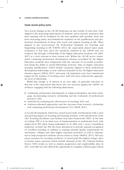#### Some recent policy turns

Two recent changes in the UK HE landscape are also worthy of note here. First, aligned to the increasing expectations of students, and to provide assurances that their learning will be facilitated by the best qualified staff possible, there has been increasing policy and institutional emphasis on the qualifications and professional development of those who teach and support learning in HE. Often aligned to the sector-owned UK Professional Standards for Teaching and Supporting Learning in HE (UKPSF, 2011), the expectation placed upon many academics is that they meet the standards outlined in the UKPSF and can evidence this through a Fellowship of the Higher Education Academy (see HEA, 2017) at a level relevant to their current role. Within the UK HE sector, institutional continuing professional development schemes accredited by the Higher Education Academy have burgeoned, with the outcome of successful accreditation being the ability to award fellowships in-house. Data on higher education teaching 'qualifications', which include categories aligned to these professional development fellowships, is now collected annually by the UK Higher Education Statistics Agency (HESA, 2017), and many UK institutions now have institutional targets for the number of 'teaching active' staff who have achieved the appropriate level of fellowship.

 $\textcircled{\scriptsize{*}}$ 

Whilst this change is of interest in its own right, of particular relevance to this text is the expectation that those who are assessed against the UKPSF can evidence engaging with the following dimensions:

- 'continuing professional development in subjects/disciplines and their pedagogy, incorporating research, scholarship and the evaluation of professional practices' (A5);
- 'methods for evaluating the effectiveness of teaching' (K5); and
- 'evidence-informed approaches and the outcomes from research, scholarship and continuing professional development' (V3; UKPSF, 2011).

A second development, which has caused sector-wide reverberations with a clear and growing impact on teaching and learning activities, is the introduction of the UK's Teaching Excellence and Student Outcomes Framework (TEF). At the time of writing, TEF is in its third year of implementation at institutional level, with subject-level TEF pilots being undertaken in 31 HEIs and a sector consultation underway. In brief, the TEF has been introduced to provide national recognition of 'excellent teaching, in addition to existing national quality requirements for universities, colleges and other higher education providers' as well as 'information to help prospective students choose where to study' (HEFCE, 2017). TEF uses proxy measures for 'teaching excellence' to award gold (the highest rating), silver or bronze status; measures which include elements of the UK's National Student Survey (NSS) results as well as student progression and employability data. In 2017, each HEI was also offered the opportunity to complete a fifteen-page written

♠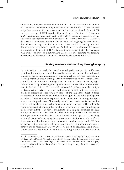submission, to explain the context within which their metrics sit and to provide an overview of the wider learning environment of the institution. There has been a significant amount of controversy about the 'metrics' that sit at the heart of TEF (see e.g. the special TEF-focused edition of *Compass: The Journal of Learning and Teaching*, 2017 and particularly Gibbs, 2017). Following extensive discussions with stakeholders, the UK Government has now refined the core metrics for Year 3 of operation to include the reduction of weighting for NSS metrics, the inclusion of Longitudinal Education Outcomes (LEO) data and a grade inflation metric to strengthen accountability. And whatever our views on the metrics and direction of travel that TEF is taking, it does appear that it has managed what numerous previous initiatives have failed to do: raise learning and teaching investments, activities and outcomes back up the HE agenda in the UK.

⊕

#### Linking research and teaching through enquiry

In combination, these and other social, cultural, policy and practice shifts have contributed towards, and been influenced by, a gradual re-evaluation and recalibration of the relative importance of and connections between research and teaching within university settings. One key contribution to the debate (Boyer Commission on Educating Undergraduates in the Research University, 1998) defined a new way of working for higher education in research-intensive universities in the United States. The work takes forward Boyer's (1990) earlier critique of disconnections between research and teaching for staff, with the focus now clearly on students. It called for a new model of undergraduate education based on research, with opportunities provided for group work and other participatory activities. Aligned to broader expectations of participation in society, the report argued that the production of knowledge should not remain an elite activity, but one that all members of an institution can and should engage in. This influential report proposed that undergraduates who enter such universities should engage in discovery activities as active participants, including opportunities to 'learn through inquiry'7 rather than through simple knowledge transmission. In essence, the Boyer Commission advocated a more 'student-centred' approach to teaching, with students actively engaging in enquiry-based activities as members of academic communities, forming one example of the widespread move in HE from a 'teacher-centred' conception of the learning process towards a more 'studentcentred' model (McKinney & Levy, 2006). As noted by McLinden and Edwards (2011), over a decade later the notion of 'learning through enquiry' has been

♠

<sup>7</sup> In this text, we recognise the interchangeable nature of the terms 'inquiry' (largely present in US literature) and 'enquiry' (largely present in UK literature). For the purposes of this book, and to reflect our own national origins, the authors of the chapters use the term enquiry. However, when referring to the work of others, or directly quoting, the term inquiry may be substituted.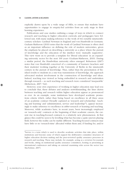explicitly drawn upon by a wide range of HEIs, to ensure that students have opportunities to engage in enquiry-led activities from an early stage in their learning experience.

⊕

Publications and case studies outlining a range of ways in which to connect research and teaching in higher education curricula and pedagogies have followed suit, with many making reference to the work of two notable nineteenthcentury scholars: Cardinal Newman in England and von Humboldt in Germany. Graham-Matheson (2010) notes that the work of Cardinal Newman is often cited as an important influence on defining the role of modern universities, given the emphasis he placed on describing a university as a place where the pursuit of knowledge and the education of the intellect were 'mutually supportive'. This view went on to provide a template for 'liberal education' in an expanding university sector for the next 100 years (Graham-Matheson, 2010). During a similar period, the Humboltian university ethos emerged. Robertson (2007) notes that von Humboldt conceived of a community of learners (teachers and their students) working together at the University of Berlin in the nineteenth century in the pursuit of knowledge. Thus, rather than the presentation of finished results to students in a one-way transmission of knowledge, the approach advocated student involvement in the construction of knowledge and ideas. Indeed, teaching was viewed as being embedded in research and undertaken through research – as such teaching and research were considered 'inseparable' (Robertson, 2007: 542).

However, your own experience of working in higher education may lead you to conclude that, these debates and analyses notwithstanding, the lines drawn between teaching and research within higher education appear as pronounced as ever. As an example, some institutions have developed academic promotions criteria which, rather than being based on excellence in all three areas of an academic contract (broadly captured as 'research and scholarship', 'teaching and learning' and 'administration, service and leadership'8 ), appear increasingly to make reference to excellence in *either* research *or* learning and teaching. Moreover, while academics have, in recent years, been increasingly employed on 'research-only' contracts at the beginning of their academic careers, the current rise in teaching-focused contracts is a relatively new phenomenon. At first glance this could be seen to be levelling what has become a quite uneven playing field; however the reality can be starkly different. Teaching-focused contracts may have little or no 'research-time' allocated within them and, if funding for, and/or

♠

<sup>8</sup> Service is a term which is used to describe academic activities that take place, within institutions and beyond, some of which support the deliberative committee structures of higher education decision making and the peer-reviewed quality assurance processes in research and teaching. These may include, for example, acting as a reviewer for journals and books, sitting on institutional quality assurance committees, hosting or presenting at international conferences and taking on external examining roles across the sector (see MacFarlane, 2007).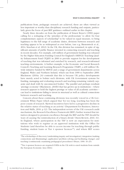publications from, pedagogic research are achieved, these are often viewed as less important or worthy than disciplinary research funding and outputs, particularly given the focus of past REF guidance outlined earlier in this chapter.

⊕

Nearly three decades on from the publication of Ernest Boyer's (1990) paper calling for a reshaping of the 'priorities of the professoriate' to allow for four complementary aspects of scholarship<sup>9</sup> to be valued in equal measure, to bring legitimacy to the full range of academic duties, divisions between research and teaching appear to be as widespread as ever before, (see e.g. Bienenstock et al., 2014; Strachan et al. 2012). In the UK, this division has remained, in spite of significant amounts of public finance invested in connecting research and teaching in recent decades. For example, £40 million of government funding was released by the Higher Education Funding Council for England's (HEFCE) Teaching Quality Enhancement Fund (TQEF) in 2006 to provide support for the development of teaching that was informed and enriched by research, and research-informed teaching environments. A further example, is the Economic and Social Research Council's Teaching and Learning Research Programme (TLRP), a £30 million UKwide initiative funded by HEFCE and a range of government departments across England, Wales and Northern Ireland, which ran from 1999 to September 2009. Blackmore (2016a: 24) contends that this is because UK policy developments have merely acted to bolster such divisions, with UK Government systems for funding, managing and evaluating research and teaching remaining 'entirely separate and dealt with by unconnected bodies'. The parallel and perhaps resultant 'prestige economy' (Blackmore, 2016b) that has grown up in institutions – where research appears to hold the highest prestige or value of all academic activities – can lead to institutions failing to invest in structural as well as cultural connections between research and teaching.

Concern about these continuing divisions was recently voiced in a UK Government White Paper which argued that 'for too long, teaching has been the poor cousin of research. Skewed incentives have led to a progressive decline in the relative status of teaching as an activity' (Department for Business, Innovation and Skills, 2016: p 12). The independent review of the UK's research audit mechanism, the Research Excellence Framework (REF), further warned that initiatives designed to promote excellence through the REF and the TEF should be wary of causing 'the reintroduction of a binary divide' (Stern Review, 2016: 31). In England, where participation in the TEF is now an expectation for institutions who wish to register as an approved institution with the Office for Students (and therefore be able to access income for teaching through public funding, student loans or Tier  $4$  sponsor licences<sup>10</sup>), and where REF scores

<sup>9</sup> The scholarships of discovery (undertaking inquiry and investigation); integration (making connections and illuminating); application (problem solving and facilitating change); and teaching (continuously examining pedagogical procedures) (Boyer, 1990: 16–25).

<sup>&</sup>lt;sup>10</sup>Tier 4 sponsor licences are required if HEIs in the UK wish to enrol students from outside the European Economic Area (EEA).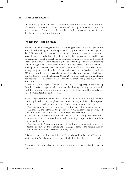already directly link to the level of funding received for research, the implications of these two measures on the business of running a university cannot be underestimated. The need for them to be complementary rather than in conflict has never been more important.

 $\textcircled{\scriptsize{*}}$ 

#### The research–teaching nexus

Notwithstanding our recognition of the continuing perceptual and real separation of research and teaching, a positive legacy of funding streams such as the TQEF and the TLRP was a focused consideration of the relationship between teaching and research. Ideas around this relationship, that might have otherwise remained internal conversations within the educational development community, were openly debated, applied and critiqued. This bringing together or connecting of research and teaching strands of higher education activity is now commonly referred to as the 'research– teaching nexus', a term originally attributed to Neumann<sup>11</sup> (1992, 1994). The concepts underpinning this nexus have been debated, developed and refined (see e.g. Brew, 2006) and have been more recently examined in relation to particular disciplinary activities (see e.g. Spronken-Smith & Walker, 2010), ontological and epistemological perspectives (see e.g. Robertson, 2007) and international settings (see e.g. Jusoha & Abidi, 2010).

One notable example of work in this area is a typology developed by Griffiths (2004) to explore what is meant by 'linking teaching and research'. Griffith's typology describes four main categories that illustrate different relationships between teaching and research:

- Teaching can be 'research-led' with curriculum structured around subject content directly based on the disciplinary interest of teaching staff. Here the emphasis tends to be on understanding research findings rather than research processes.
- Teaching can be 'research-oriented' with the curriculum placing as much emphasis on understanding the processes by which knowledge is produced, as on learning what knowledge is in a particular discipline.
- Teaching can be 'research-based' with the curriculum mainly designed around activities that are enquiry-led with students finding things out for themselves, alone or in groups.
- Teaching can be 'research-informed' with staff and students undertaking systematic enquiry into the teaching and learning process itself to achieve the best outcomes for students' learning (Griffiths, 2004).

This latter category of 'research-informed' is informed by Boyer's (1990) articulation of the 'scholarship of teaching' which describes the process by which

♠

<sup>11</sup>Interestingly Neumann talks about the 'teaching-research nexus'; a subtle but different emphasis!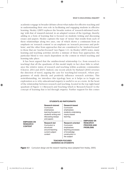academics engage in broader debates about what makes for effective teaching and in understanding their own role in facilitating and engaging students in effective learning. Healey (2005) replaces the broader notion of 'research-informed teaching' with that of *research-tutored*, in an adapted version of the typology, thereby adding in a form of learning that is focused on students writing and discussing essays and papers. Healey captures the type of 'nexus' that results from each of these relationships along two axes, one of which shows a continuum from an emphasis on 'research content' to an emphasis on 'research processes and problems', and the other from approaches that are considered to be 'student-focused' to those that are 'teacher-focused' (see Figure 1.1). As Healey (2005) notes, many learning and teaching activities involve a mixture of these four approaches; the particular blend is very much dependent on the context in which teaching and learning take place.

⊕

It has been argued that the unidirectional relationship (i.e. from research to teaching) that all the quadrants of this model imply in fact does little to rebalance the relative status of research and teaching within academic communities (Cleaver, 2014 and 2015). Indeed, one recent article by Harland (2016) reverses the direction of travel, arguing the case for 'teaching-led research', where programmes of study directly and positively influence research activities. This notwithstanding, we introduce this typology here as it helps us to begin our exploration as to why *educational enquiry* is useful to us as a term. At the heart of the relationship between research and teaching, located in the top right-hand quadrant of Figure 1.1 (Research and Teaching which is 'Research-based') is the concept of learning that is led through *enquiry*. Further support for this comes

| <b>STUDENTS AS PARTICIPANTS</b> |
|---------------------------------|
|                                 |

|                                                         | Research-tutored<br>Curriculum<br>emphasises<br>learning focused on<br>students writing and<br>discussing essays<br>and papers | Research-based<br>Curriculum<br>emphasises<br>students undertaking<br>inguiry-based<br>learning                              | <b>EMPHASIS ON</b><br><b>RESEARCH</b><br><b>PROCESS AND</b><br><b>PROBLEMS</b> |
|---------------------------------------------------------|--------------------------------------------------------------------------------------------------------------------------------|------------------------------------------------------------------------------------------------------------------------------|--------------------------------------------------------------------------------|
| <b>EMPHASIS ON</b><br><b>RESEARCH</b><br><b>CONTENT</b> | Research-led<br>Curriculum is<br>structured<br>around teaching<br>current subject<br>content                                   | <b>Research-oriented</b><br>Curriculum<br>emphasises<br>teaching processes<br>of knowledge<br>construction in<br>the subject |                                                                                |

#### **TEACHER-FOCUSED AUDIENCE AS STUDENTS**

**Figure 1.1** Curriculum design and the research–teaching nexus (adapted from Healey, 2005)

01\_CLEAVER\_ET AL\_2E\_CH-01.indd 15 26/06/2018 5:01:26 PM

♠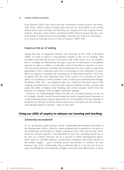from Barnett (2005), who notes that the conclusion of many writers (see Elton, 2005; Brew, 2001) is that teaching and research are more likely to be closely linked when both teaching and learning are 'enquiry-led' and 'enquiry-based'. Indeed, citing the work of Brew and Boud (1995), Barnett argues that the common feature of both research and teaching 'is that they are both acts of learning … in as much as learning can be a form of enquiry' (2005: 100).

 $\textcircled{\scriptsize{*}}$ 

#### Enquiry as the act of seeking

Taking this line of argument forward, and drawing on the work of Rowland (2006), we find it useful to conceptualise enquiry as the act of 'seeking'. This resonates well with the process of research with which many of us are familiar; that is, seeking out information through a process of structured or disciplined enquiry in order to address a particular research hypothesis, question or issue. The association between 'seeking' and teaching may not prove quite so apparent; particularly if the commonly held view of teaching in your institution or discipline can appear to prioritise the transmission of information and fact. Yet, if we recognise that 'the most important task of the teacher is to develop an atmosphere or an attitude in which students *seek*, to build and understand knowledge' (Rowland, 2006: 109 – our emphasis) then the connection becomes clearer. The 'seeking' described here is a process that supports students to learn, practise and apply the skills of higher-order thinking and critical enquiry which form the bedrock of academic work in higher education settings.

However, we fundamentally believe that the use of critical enquiry (or the act of 'seeking') should extend beyond being the mode (enquiry-based learning) or content (learning about enquiry approaches) of our teaching. It has the potential to transform our broader academic practice and it is to a discussion of such activities – *educational enquiry* in practice – that we now turn.

#### Using our skills of enquiry to enhance our learning and teaching

#### Scholarship reconsidered?

As we mentioned earlier, Boyer's report, *Scholarship Reconsidered: Priorities of the Professoriate* (1990), called for equal standing and recognition to be given to *the scholarship of teaching* in a higher education sector that had become dominated by research agendas. Conceptualised in this way, teaching should not to be seen as a routine function, but as a process in which '[p]edagogical procedures must be carefully planned, continuously examined, and relate directly to the subject taught … good teaching means that faculty, as scholars, are also learners' (pp. 24–5). Importantly, Boyer indicates that it is not just the level or type of teaching that we undertake in higher education that differentiates us from

♠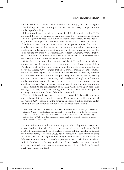other educators. It is the fact that as a group we can apply our skills of higherorder thinking and critical enquiry to our own teaching design and practice: the scholarship of teaching.

⊕

Taking these ideas forward, the Scholarship of Teaching and Learning (SoTL) movement, broadly recognised as being introduced by Hutchings and Shulman (1999), has grown in scope and influence over the last decade. Its basic tenet is that, through employing our academic skills, we can move beyond the synthesis of the latest thinking and practices within our disciplines or area of practice, to actively enter into and lead debates about appropriate modes of teaching and good practice in facilitating student learning. Key to this movement is an emphasis on making any work we do 'community property' (Shulman, 1993) so that we can use and build on one another's work in the same way as our research activities build and flourish in our academic communities.

While there is no one clear definition of the SoTL, and the methods and approaches that it encompasses remain the focus of continuing debate (Fanghanel et al., 2016), one exposition provides a useful staging post for this discussion. Healey (2003) argues that SoTL should encompass and comprise Boyer's first three types of scholarship: the scholarship of discovery (original and blue-skies research), the scholarship of integration (the synthesis of existing research to create new and interesting understandings and applications) and the scholarship of application (the use of evidence to change and improve practice in real-life settings). This conceptualisation helps us to move forward in our quest for an approach to the enhancement of teaching which draws upon academics' existing skills-sets, rather than seeing the skills associated with disciplinary teaching as discrete from those of disciplinary research.

However, it is worth pausing to note that 'scholarship', like SoTL, remains a much debated, fluid and contested concept. While this is not problematic in itself, Gill Nicholls (2005) makes clear the potential impact of a lack of common understanding in the conclusion to her book *The Challenge of Scholarship.*

To understand a term we need to know how it behaves in a wide range of circumstances. When we understand the term fully we can then use it to its full effect. The problem that has been identified … is that there is no understanding of scholarship … Without a clear meaning, explaining the actions of a scholar is impossible. (Nicholls, 2005: 140)

We are therefore left with the understanding that scholarship (as a concept, and an associated set of activities) may appear meaningless (and undervalued?), if it is not fully understood and valued. A clear problem with the need for contextualised understanding, as Nicholls (2005) rightly states, is that scholarship, in being so defined, may be in danger of becoming a mere checklist, or too narrow in definition. One notable example of this process in action, which we introduced earlier in the chapter, is the way in which scholarship has become associated with a narrowly defined set of academic outputs as part of the UK's 2014 Research Excellence Framework (REF):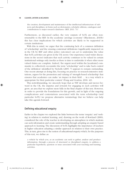the creation, development and maintenance of the intellectual infrastructure of subjects and disciplines, in forms such as dictionaries, scholarly editions, catalogues and contributions to major research databases. (REF, 2011: 71)

⊕

Furthermore, as discussed earlier, the very outputs of SoTL are often nonreturnable to the REF. In the academic 'prestige economy' (Blackmore, 2016b) this has clear implications for which activities are likely to be supported in certain institutions.

With this in mind, we argue that the continuing lack of a common definition of 'scholarship' and the ensuing contextual definitions (significantly impacted on in the UK by REF and other policy outcomes) can act to undermine the value that SoTL activities are given in the UK sector. Our experience (and wider discussions in the sector) indicates that such activity continues to be valued in certain institutional settings only insofar as there is time to undertake it when other more valued duties are complete. Indeed, 'the urgent need within the [academic] community to collectively reconsider the term "scholarship" and to take back control of the definition' identified by Nicholls (2005: 7) appears to remain outstanding. One recent attempt at doing this, focusing on practice in research-intensive institutions, argues for the promotion and valuing of 'strength-based scholarship' that ensures that academics can make 'an impact in their field … in a way which is appropriate for their particular context' (Fung and Gordon, 2016: 42).

This notwithstanding, we sincerely hope that as TEF develops and moves forward in the UK, the impetus and rewards for engaging in such activities will grow; an area that we explore more fully in the final chapter of this text. However, in order to provide the foundations for this growth, and in light of the ongoing complications and contestations associated with the term scholarship (and particular SoTL) we propose alternative terminology that we believe can help take this agenda forward.

#### Defining educational enquiry

Earlier in the chapter we explored the links between the terms 'enquiry' and 'seeking' in relation to student learning, and, drawing on the work of Rowland (2006), considered the role of the teacher in developing an atmosphere in which students can seek information and create understanding through adopting an enquiry-based approach to learning. The discussion of SoTL highlights the importance of teachers in higher education adopting a similar approach in relation to their own practice. This, in turn, gives rise to the notion of *educational enquiry* which, for the purposes of this text, we define as:

a vehicle by which you, as an academic can seek to gather, analyse and produce information, through a process of structured or disciplined enquiry, to address a particular hypothesis, question or issue associated with your teaching and learning activities.

01\_CLEAVER\_ET AL\_2E\_CH-01.indd 18 26/06/2018 5:01:26 PM

⊕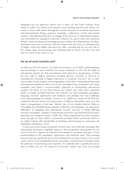Adopting such an approach allows you to draw on and build evidence from which to reflect on, inform and enhance your teaching practice and, where relevant, to share with others through the normal channels of academic discussion and dissemination (blogs, podcasts, meetings, conferences, books and journal articles). Through knowing how to engage in the process of educational enquiry, you will further be equipped to provide evidence for, and to enter into and lead, debates about teaching and learning practices within your departments, faculties, disciplines and areas of practice. We also believe that this is key to defining what is 'higher' about the higher education we offer: ensuring that we are not only at the cutting edge of researching and defining *what* we teach, but also *how and why* we teach in the ways we do.

⊕

#### Are we all social scientists now?

As with any form of enquiry, you will need to have a set of skills, understandings and knowledge to move forward. For many academics in the UK, the skills of educational enquiry are first encountered and explored in programmes of study for new staff in higher education teaching (known variously as PGCerts in Learning and Teaching in Higher Education or Academic Practice). Yet, as indicated earlier in this chapter, such programmes (and other continuing professional development initiatives) often rest on the assumption that academics will study, assimilate and adopt a 'social-scientific' approach to undertaking educational enquiry. For those of you from almost any subject area other than education itself, it is highly probable that this will confront you with unfamiliar paradigms, language, research approaches and methods, and perhaps also may challenge your understandings of 'validity'. Prosser et al. (2006) in a study of UK PGCerts, confirmed that the needs and approaches of different disciplines were not writ large in programmes at the time. Indeed, one of our chapter authors, Rebecca O'Loughlin, has identified that academics within her own discipline can experience difficulties in engaging with educational research 'because of the[ir] differing research paradigms: empirical (educational research) and theoretical/discursive (theology and religious studies)' (2008: 69). These arguments have been revisited more recently by Chick (2013), Grauerholz and Main (2013) and Poole (2013) in an edited volume *The Scholarship of Teaching and Learning in and across the Disciplines* (McKinney, 2013).

To put non-social-science academics at their ease, one of the key messages that educational developers regularly impart is that programme participants do not need to become 'experts' in education but simply to recognise and gain a basic understanding of the paradigms, approaches and methods used. This message however may go against the grain of everything that you have learnt so far in your career, where every qualification from your degree onwards has led further down the pathway of developing your expertise. To suddenly take a qualification in an area in which you are not expected to become 'expert' may leave you feeling

♠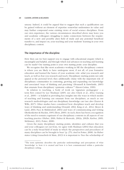uneasy. Indeed, it could be argued that to suggest that such a qualification can be gained without an element of expertise somewhat undermines its value and may further compound some existing views of social science disciplines. From our own experience, the various circumstances described above may leave you and academic colleagues struggling to make connections between the requirements of a new and possibly alien field of study and any potential beneficial transfer to, and impact on, your teaching and your students' learning in your own disciplinary context.

⊕

#### The importance of the discipline

How then can we best support you to engage with educational enquiry which is meaningful and helpful, and through which real advances in teaching and learning can be made? Our starting point is your own starting point: your discipline.

We recognise that like most academics working in HE the disciplinary context is where you are likely to have undergone most, if not all, of your formative education and learned the basics of your academic role: *what* you research and teach, as well as *how* you research and teach. Disciplinary starting points not only appeal at the personal level; they additionally chime with the important role of disciplinary communities in contesting, growing and expanding our knowledge and associated 'ways of thinking and practising' (Hounsell & Entwhistle, 2005) that emanate from disciplinary 'epistemic cultures'12 (Knorr-Cetina, 1999).

In relation to teaching, a body of work on 'signature pedagogies' – a term first coined by Lee Shulman (2005; see also Chick et al., 2012; Gurung et al., 2009) – is helpful in providing key insights into the ways in which modes of teaching and learning can emanate from our disciplines, as much as our research methodologies and our disciplinary knowledge can (see also Cleaver & Wills, 2017). Other studies have considered how disciplines teach and develop ways of thinking and understanding (Donald, 2002; King et al., 2012; Meyer & Land, 2003; Pace & Middendorf, 2004) and ways of communicating and writing (Berkenkotter & Huckin, 1995; Elton, 2009). As such, there has been a recognition of the need to remain cognisant of our disciplinary contexts in all aspects of our teaching practice (Huber, 2006; Huber & Morreale, 2002a, 2002b; Kreber, 2009; McKinney, 2013; Potter, 2008).

Given the many disciplinary starting points, identities and cultures that you and your colleagues set out from, we agree with Shulman (2004) that education can be a truly broad field of study in which 'the perspectives and procedures of many disciplines can be brought to bear' (p. 279, cited in Potter, 2008). As Huber states (citing Grauerholz & Main, 2013) it is important to 'free the scholarship of

⊕

<sup>&</sup>lt;sup>12</sup>The term epistemic describes the particular understandings and perceptions of what 'knowledge' is, how it is created and how it is best communicated within a particular disciplinary setting.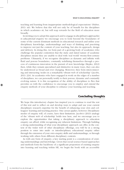teaching and learning from inappropriate methodological expectations' (Huber, 2013: xii). We believe that this will not only be of benefit for the disciplines in which academics sit, but will reap rewards for the field of education more broadly.

⊕

In inviting you to adopt this approach and to engage in *disciplinary approaches to educational enquiry* we encourage you to look beyond the boundaries of some of the current dominant methods in educational research and utilise your disciplinary knowledge, understandings and ways of thinking and practising to improve not just the content of your teaching, but also its approach, design and delivery. In doing this, we form part of a growing body of academics who challenge the popular contention that the static and dated nature of academic disciplines means they are unable to deal with 'real world' twenty-first-century problems. Ultimately, if we recognise disciplines as dynamic and infinite with fluid and porous boundaries, constantly redefining themselves through a process of continuous innovation in the pursuit of new knowledge (Repko, 2012) then, while they remain specialised and distinctive in many ways, they can also be understood as broad and ever changing. Moreover, they form interconnecting and interacting 'nodes in a remarkably vibrant web of scholarship' (Jacobs, 2013: 224). As academics who have engaged in work on the edges of a number of disciplines, we can personally testify to their porous, dynamic and constantly evolving nature. It is this recognition of the ability of disciplines to flex that provides us with the confidence to encourage you to employ and extend the enquiry methods of your discipline to enhance your learning and teaching.

#### Concluding thoughts

We hope this introductory chapter has inspired you to continue to read the rest of this text and to reflect on and develop ways to adapt and use your current disciplinary research expertise for the benefit of enhancing your own and colleagues' learning and teaching practice. One caveat applies, however. Disciplinary modes of enquiry will, of course, have their limitations. Jacobs's (2013) analogy of the 'vibrant web of scholarship' holds true here, and we encourage you to explore the opportunities that taking a disciplinary approach to education enquiry can afford, while recognising any inherent limitations. Through building a strong understanding of what your disciplinary approach can offer, in the context of the wider web of other disciplinary offerings, you will be in a strong position to enter into multi- or interdisciplinary educational enquiry either through the extension of your own enquiry skills and understandings, or through working with others from different disciplinary contexts.

As with any form of enquiry, a key starting point is a consideration of existing understandings and knowledge. Given that social science-based approaches and methods form the backbone of a significant proportion of existing enquiry into learning and teaching within HE, we begin the book with an accessible

♠